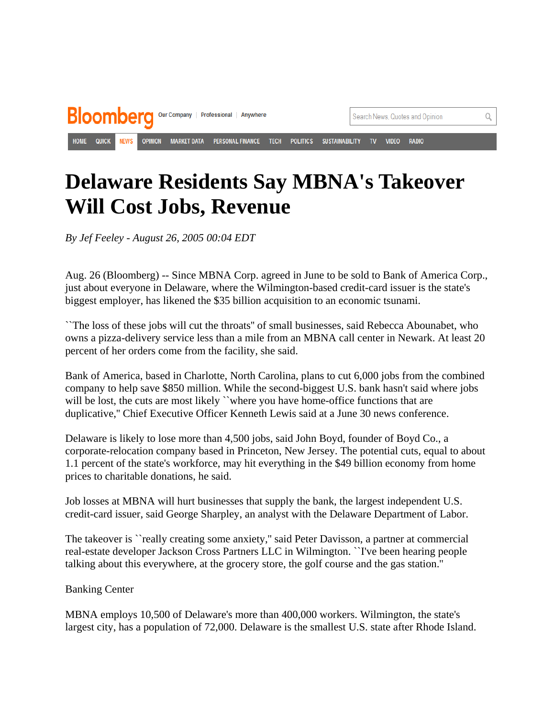

## **Delaware Residents Say MBNA's Takeover Will Cost Jobs, Revenue**

*By Jef Feeley - August 26, 2005 00:04 EDT* 

Aug. 26 (Bloomberg) -- Since MBNA Corp. agreed in June to be sold to Bank of America Corp., just about everyone in Delaware, where the Wilmington-based credit-card issuer is the state's biggest employer, has likened the \$35 billion acquisition to an economic tsunami.

``The loss of these jobs will cut the throats'' of small businesses, said Rebecca Abounabet, who owns a pizza-delivery service less than a mile from an MBNA call center in Newark. At least 20 percent of her orders come from the facility, she said.

Bank of America, based in Charlotte, North Carolina, plans to cut 6,000 jobs from the combined company to help save \$850 million. While the second-biggest U.S. bank hasn't said where jobs will be lost, the cuts are most likely "where you have home-office functions that are duplicative,'' Chief Executive Officer Kenneth Lewis said at a June 30 news conference.

Delaware is likely to lose more than 4,500 jobs, said John Boyd, founder of Boyd Co., a corporate-relocation company based in Princeton, New Jersey. The potential cuts, equal to about 1.1 percent of the state's workforce, may hit everything in the \$49 billion economy from home prices to charitable donations, he said.

Job losses at MBNA will hurt businesses that supply the bank, the largest independent U.S. credit-card issuer, said George Sharpley, an analyst with the Delaware Department of Labor.

The takeover is ``really creating some anxiety,'' said Peter Davisson, a partner at commercial real-estate developer Jackson Cross Partners LLC in Wilmington. ``I've been hearing people talking about this everywhere, at the grocery store, the golf course and the gas station.''

## Banking Center

MBNA employs 10,500 of Delaware's more than 400,000 workers. Wilmington, the state's largest city, has a population of 72,000. Delaware is the smallest U.S. state after Rhode Island.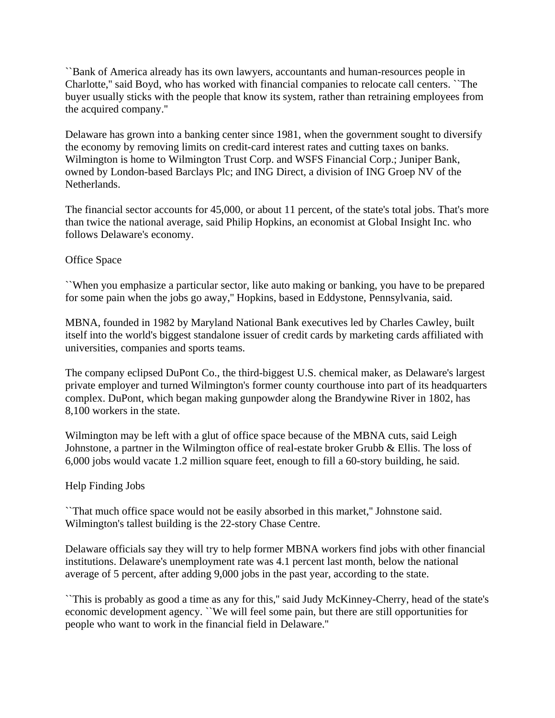``Bank of America already has its own lawyers, accountants and human-resources people in Charlotte,'' said Boyd, who has worked with financial companies to relocate call centers. ``The buyer usually sticks with the people that know its system, rather than retraining employees from the acquired company.''

Delaware has grown into a banking center since 1981, when the government sought to diversify the economy by removing limits on credit-card interest rates and cutting taxes on banks. Wilmington is home to Wilmington Trust Corp. and WSFS Financial Corp.; Juniper Bank, owned by London-based Barclays Plc; and ING Direct, a division of ING Groep NV of the Netherlands.

The financial sector accounts for 45,000, or about 11 percent, of the state's total jobs. That's more than twice the national average, said Philip Hopkins, an economist at Global Insight Inc. who follows Delaware's economy.

## Office Space

``When you emphasize a particular sector, like auto making or banking, you have to be prepared for some pain when the jobs go away,'' Hopkins, based in Eddystone, Pennsylvania, said.

MBNA, founded in 1982 by Maryland National Bank executives led by Charles Cawley, built itself into the world's biggest standalone issuer of credit cards by marketing cards affiliated with universities, companies and sports teams.

The company eclipsed DuPont Co., the third-biggest U.S. chemical maker, as Delaware's largest private employer and turned Wilmington's former county courthouse into part of its headquarters complex. DuPont, which began making gunpowder along the Brandywine River in 1802, has 8,100 workers in the state.

Wilmington may be left with a glut of office space because of the MBNA cuts, said Leigh Johnstone, a partner in the Wilmington office of real-estate broker Grubb & Ellis. The loss of 6,000 jobs would vacate 1.2 million square feet, enough to fill a 60-story building, he said.

## Help Finding Jobs

``That much office space would not be easily absorbed in this market,'' Johnstone said. Wilmington's tallest building is the 22-story Chase Centre.

Delaware officials say they will try to help former MBNA workers find jobs with other financial institutions. Delaware's unemployment rate was 4.1 percent last month, below the national average of 5 percent, after adding 9,000 jobs in the past year, according to the state.

``This is probably as good a time as any for this," said Judy McKinney-Cherry, head of the state's economic development agency. ``We will feel some pain, but there are still opportunities for people who want to work in the financial field in Delaware.''